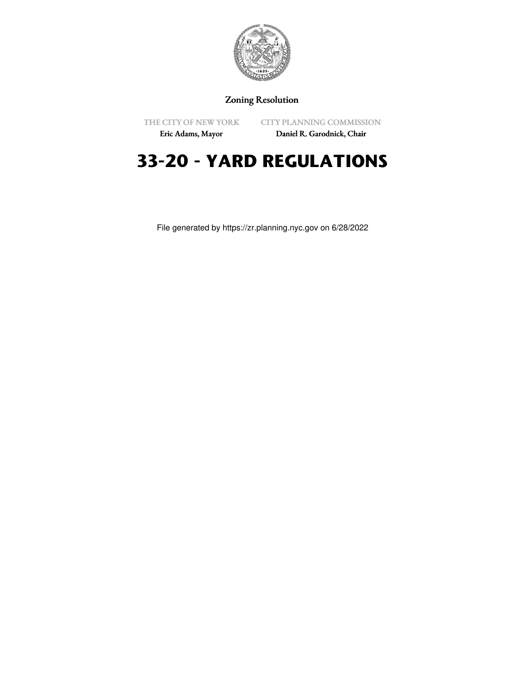

# Zoning Resolution

THE CITY OF NEW YORK

CITY PLANNING COMMISSION

Eric Adams, Mayor

Daniel R. Garodnick, Chair

# **33-20 - YARD REGULATIONS**

File generated by https://zr.planning.nyc.gov on 6/28/2022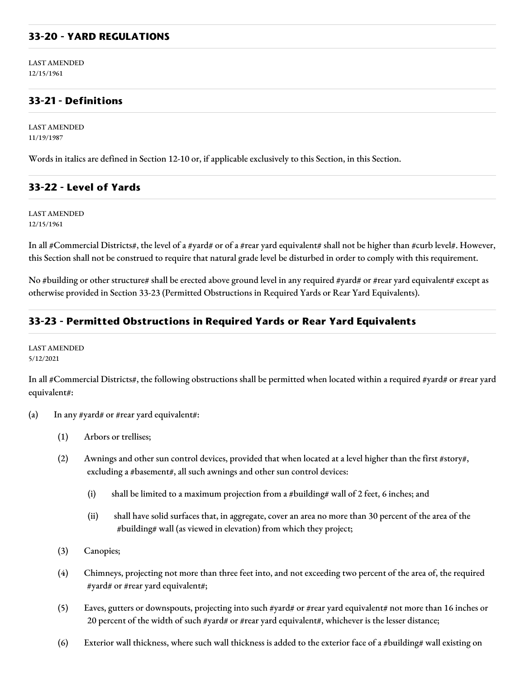#### **33-20 - YARD REGULATIONS**

LAST AMENDED 12/15/1961

#### **33-21 - Definitions**

LAST AMENDED 11/19/1987

Words in italics are defined in Section 12-10 or, if applicable exclusively to this Section, in this Section.

#### **33-22 - Level of Yards**

LAST AMENDED 12/15/1961

In all #Commercial Districts#, the level of a #yard# or of a #rear yard equivalent# shall not be higher than #curb level#. However, this Section shall not be construed to require that natural grade level be disturbed in order to comply with this requirement.

No #building or other structure# shall be erected above ground level in any required #yard# or #rear yard equivalent# except as otherwise provided in Section 33-23 (Permitted Obstructions in Required Yards or Rear Yard Equivalents).

#### **33-23 - Permitted Obstructions in Required Yards or Rear Yard Equivalents**

LAST AMENDED 5/12/2021

In all #Commercial Districts#, the following obstructions shall be permitted when located within a required #yard# or #rear yard equivalent#:

- (a) In any #yard# or #rear yard equivalent#:
	- (1) Arbors or trellises;
	- (2) Awnings and other sun control devices, provided that when located at a level higher than the first #story#, excluding a #basement#, all such awnings and other sun control devices:
		- (i) shall be limited to a maximum projection from a #building# wall of 2 feet, 6 inches; and
		- (ii) shall have solid surfaces that, in aggregate, cover an area no more than 30 percent of the area of the #building# wall (as viewed in elevation) from which they project;
	- (3) Canopies;
	- (4) Chimneys, projecting not more than three feet into, and not exceeding two percent of the area of, the required #yard# or #rear yard equivalent#;
	- (5) Eaves, gutters or downspouts, projecting into such #yard# or #rear yard equivalent# not more than 16 inches or 20 percent of the width of such #yard# or #rear yard equivalent#, whichever is the lesser distance;
	- (6) Exterior wall thickness, where such wall thickness is added to the exterior face of a #building# wall existing on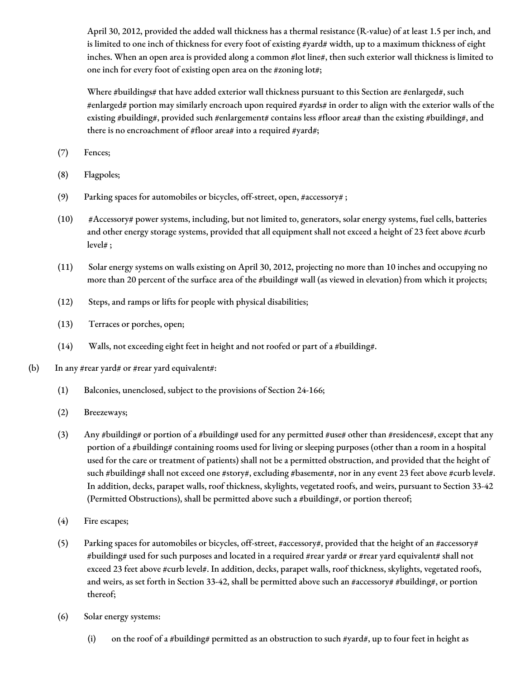April 30, 2012, provided the added wall thickness has a thermal resistance (R-value) of at least 1.5 per inch, and is limited to one inch of thickness for every foot of existing #yard# width, up to a maximum thickness of eight inches. When an open area is provided along a common #lot line#, then such exterior wall thickness is limited to one inch for every foot of existing open area on the #zoning lot#;

Where #buildings# that have added exterior wall thickness pursuant to this Section are #enlarged#, such #enlarged# portion may similarly encroach upon required #yards# in order to align with the exterior walls of the existing #building#, provided such #enlargement# contains less #floor area# than the existing #building#, and there is no encroachment of #floor area# into a required #yard#;

- (7) Fences;
- (8) Flagpoles;
- (9) Parking spaces for automobiles or bicycles, off-street, open, #accessory# ;
- (10) #Accessory# power systems, including, but not limited to, generators, solar energy systems, fuel cells, batteries and other energy storage systems, provided that all equipment shall not exceed a height of 23 feet above #curb level# ;
- (11) Solar energy systems on walls existing on April 30, 2012, projecting no more than 10 inches and occupying no more than 20 percent of the surface area of the #building# wall (as viewed in elevation) from which it projects;
- (12) Steps, and ramps or lifts for people with physical disabilities;
- (13) Terraces or porches, open;
- (14) Walls, not exceeding eight feet in height and not roofed or part of a #building#.
- (b) In any #rear yard# or #rear yard equivalent#:
	- (1) Balconies, unenclosed, subject to the provisions of Section 24-166;
	- (2) Breezeways;
	- (3) Any #building# or portion of a #building# used for any permitted #use# other than #residences#, except that any portion of a #building# containing rooms used for living or sleeping purposes (other than a room in a hospital used for the care or treatment of patients) shall not be a permitted obstruction, and provided that the height of such #building# shall not exceed one #story#, excluding #basement#, nor in any event 23 feet above #curb level#. In addition, decks, parapet walls, roof thickness, skylights, vegetated roofs, and weirs, pursuant to Section 33-42 (Permitted Obstructions), shall be permitted above such a #building#, or portion thereof;
	- (4) Fire escapes;
	- (5) Parking spaces for automobiles or bicycles, off-street, #accessory#, provided that the height of an #accessory# #building# used for such purposes and located in a required #rear yard# or #rear yard equivalent# shall not exceed 23 feet above #curb level#. In addition, decks, parapet walls, roof thickness, skylights, vegetated roofs, and weirs, as set forth in Section 33-42, shall be permitted above such an #accessory# #building#, or portion thereof;
	- (6) Solar energy systems:
		- (i) on the roof of a #building# permitted as an obstruction to such #yard#, up to four feet in height as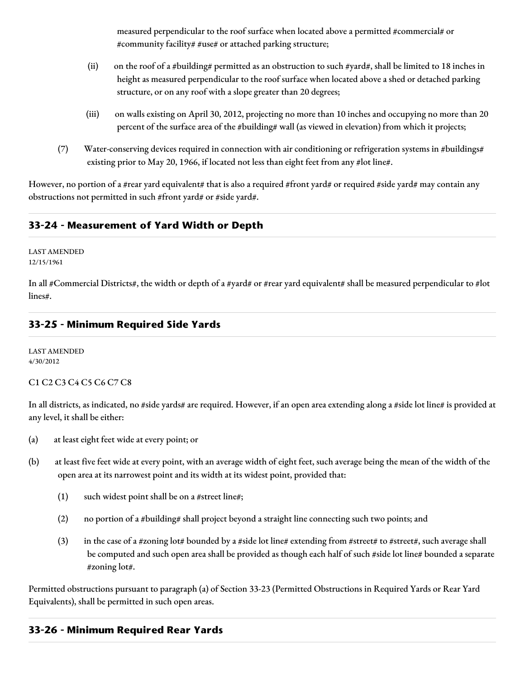measured perpendicular to the roof surface when located above a permitted #commercial# or #community facility# #use# or attached parking structure;

- (ii) on the roof of a #building# permitted as an obstruction to such #yard#, shall be limited to 18 inches in height as measured perpendicular to the roof surface when located above a shed or detached parking structure, or on any roof with a slope greater than 20 degrees;
- (iii) on walls existing on April 30, 2012, projecting no more than 10 inches and occupying no more than 20 percent of the surface area of the #building# wall (as viewed in elevation) from which it projects;
- (7) Water-conserving devices required in connection with air conditioning or refrigeration systems in #buildings# existing prior to May 20, 1966, if located not less than eight feet from any #lot line#.

However, no portion of a #rear yard equivalent# that is also a required #front yard# or required #side yard# may contain any obstructions not permitted in such #front yard# or #side yard#.

# **33-24 - Measurement of Yard Width or Depth**

LAST AMENDED 12/15/1961

In all #Commercial Districts#, the width or depth of a #yard# or #rear yard equivalent# shall be measured perpendicular to #lot lines#.

# **33-25 - Minimum Required Side Yards**

LAST AMENDED 4/30/2012

#### C1 C2 C3 C4 C5 C6 C7 C8

In all districts, as indicated, no #side yards# are required. However, if an open area extending along a #side lot line# is provided at any level, it shall be either:

- (a) at least eight feet wide at every point; or
- (b) at least five feet wide at every point, with an average width of eight feet, such average being the mean of the width of the open area at its narrowest point and its width at its widest point, provided that:
	- (1) such widest point shall be on a #street line#;
	- (2) no portion of a #building# shall project beyond a straight line connecting such two points; and
	- (3) in the case of a #zoning lot# bounded by a #side lot line# extending from #street# to #street#, such average shall be computed and such open area shall be provided as though each half of such #side lot line# bounded a separate #zoning lot#.

Permitted obstructions pursuant to paragraph (a) of Section 33-23 (Permitted Obstructions in Required Yards or Rear Yard Equivalents), shall be permitted in such open areas.

# **33-26 - Minimum Required Rear Yards**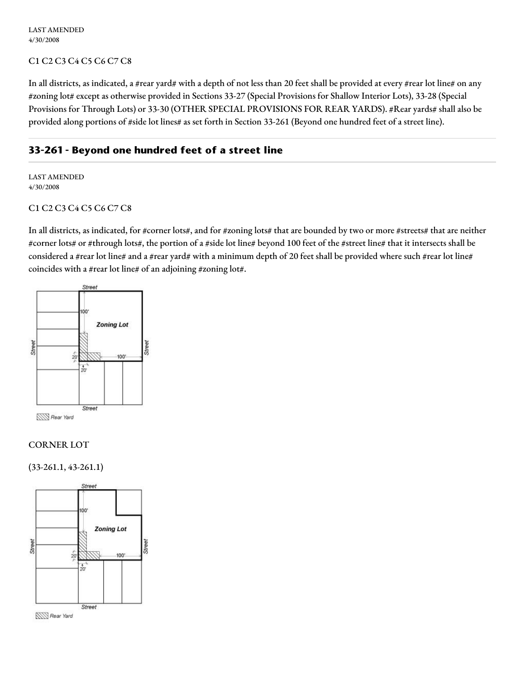LAST AMENDED 4/30/2008

#### C1 C2 C3 C4 C5 C6 C7 C8

In all districts, as indicated, a #rear yard# with a depth of not less than 20 feet shall be provided at every #rear lot line# on any #zoning lot# except as otherwise provided in Sections 33-27 (Special Provisions for Shallow Interior Lots), 33-28 (Special Provisions for Through Lots) or 33-30 (OTHER SPECIAL PROVISIONS FOR REAR YARDS). #Rear yards# shall also be provided along portions of #side lot lines# as set forth in Section 33-261 (Beyond one hundred feet of a street line).

#### **33-261 - Beyond one hundred feet of a street line**

LAST AMENDED 4/30/2008

#### C1 C2 C3 C4 C5 C6 C7 C8

In all districts, as indicated, for #corner lots#, and for #zoning lots# that are bounded by two or more #streets# that are neither #corner lots# or #through lots#, the portion of a #side lot line# beyond 100 feet of the #street line# that it intersects shall be considered a #rear lot line# and a #rear yard# with a minimum depth of 20 feet shall be provided where such #rear lot line# coincides with a #rear lot line# of an adjoining #zoning lot#.



#### CORNER LOT

(33-261.1, 43-261.1)

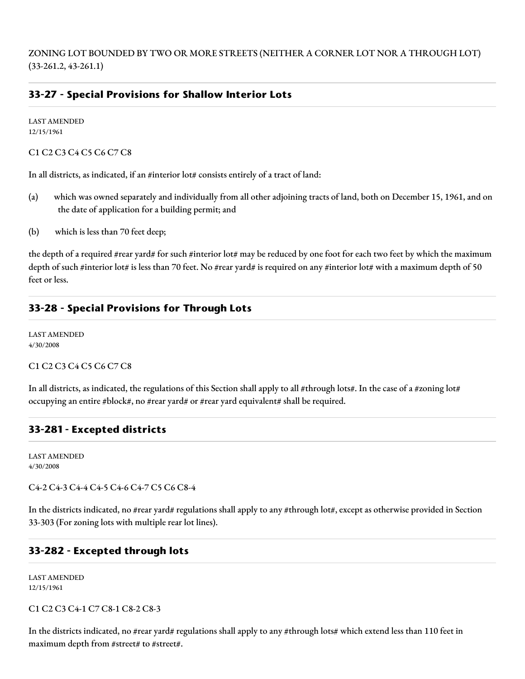ZONING LOT BOUNDED BY TWO OR MORE STREETS (NEITHER A CORNER LOT NOR A THROUGH LOT) (33-261.2, 43-261.1)

# **33-27 - Special Provisions for Shallow Interior Lots**

LAST AMENDED 12/15/1961

C1 C2 C3 C4 C5 C6 C7 C8

In all districts, as indicated, if an #interior lot# consists entirely of a tract of land:

- (a) which was owned separately and individually from all other adjoining tracts of land, both on December 15, 1961, and on the date of application for a building permit; and
- (b) which is less than 70 feet deep;

the depth of a required #rear yard# for such #interior lot# may be reduced by one foot for each two feet by which the maximum depth of such #interior lot# is less than 70 feet. No #rear yard# is required on any #interior lot# with a maximum depth of 50 feet or less.

#### **33-28 - Special Provisions for Through Lots**

LAST AMENDED 4/30/2008

C1 C2 C3 C4 C5 C6 C7 C8

In all districts, as indicated, the regulations of this Section shall apply to all #through lots#. In the case of a #zoning lot# occupying an entire #block#, no #rear yard# or #rear yard equivalent# shall be required.

# **33-281 - Excepted districts**

LAST AMENDED 4/30/2008

C4-2 C4-3 C4-4 C4-5 C4-6 C4-7 C5 C6 C8-4

In the districts indicated, no #rear yard# regulations shall apply to any #through lot#, except as otherwise provided in Section 33-303 (For zoning lots with multiple rear lot lines).

#### **33-282 - Excepted through lots**

LAST AMENDED 12/15/1961

C1 C2 C3 C4-1 C7 C8-1 C8-2 C8-3

In the districts indicated, no #rear yard# regulations shall apply to any #through lots# which extend less than 110 feet in maximum depth from #street# to #street#.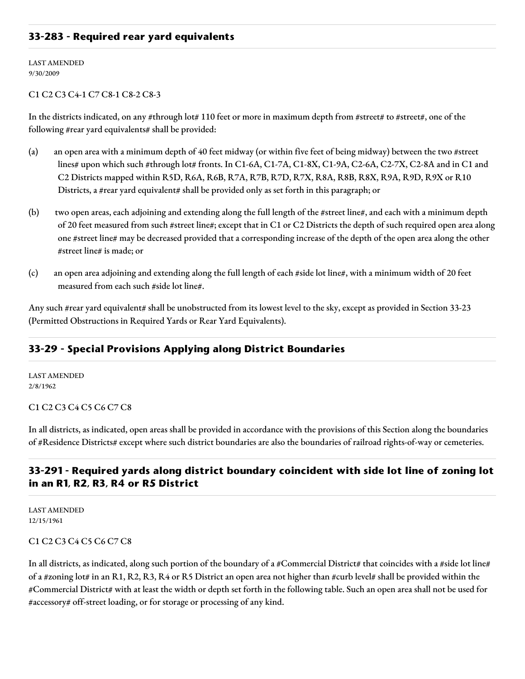#### **33-283 - Required rear yard equivalents**

LAST AMENDED 9/30/2009

#### C1 C2 C3 C4-1 C7 C8-1 C8-2 C8-3

In the districts indicated, on any #through lot# 110 feet or more in maximum depth from #street# to #street#, one of the following #rear yard equivalents# shall be provided:

- (a) an open area with a minimum depth of 40 feet midway (or within five feet of being midway) between the two #street lines# upon which such #through lot# fronts. In C1-6A, C1-7A, C1-8X, C1-9A, C2-6A, C2-7X, C2-8A and in C1 and C2 Districts mapped within R5D, R6A, R6B, R7A, R7B, R7D, R7X, R8A, R8B, R8X, R9A, R9D, R9X or R10 Districts, a #rear yard equivalent# shall be provided only as set forth in this paragraph; or
- (b) two open areas, each adjoining and extending along the full length of the #street line#, and each with a minimum depth of 20 feet measured from such #street line#; except that in C1 or C2 Districts the depth of such required open area along one #street line# may be decreased provided that a corresponding increase of the depth of the open area along the other #street line# is made; or
- (c) an open area adjoining and extending along the full length of each #side lot line#, with a minimum width of 20 feet measured from each such #side lot line#.

Any such #rear yard equivalent# shall be unobstructed from its lowest level to the sky, except as provided in Section 33-23 (Permitted Obstructions in Required Yards or Rear Yard Equivalents).

# **33-29 - Special Provisions Applying along District Boundaries**

LAST AMENDED 2/8/1962

C1 C2 C3 C4 C5 C6 C7 C8

In all districts, as indicated, open areas shall be provided in accordance with the provisions of this Section along the boundaries of #Residence Districts# except where such district boundaries are also the boundaries of railroad rights-of-way or cemeteries.

# **33-291 - Required yards along district boundary coincident with side lot line of zoning lot in an R1, R2, R3, R4 or R5 District**

LAST AMENDED 12/15/1961

#### C1 C2 C3 C4 C5 C6 C7 C8

In all districts, as indicated, along such portion of the boundary of a #Commercial District# that coincides with a #side lot line# of a #zoning lot# in an R1, R2, R3, R4 or R5 District an open area not higher than #curb level# shall be provided within the #Commercial District# with at least the width or depth set forth in the following table. Such an open area shall not be used for #accessory# off-street loading, or for storage or processing of any kind.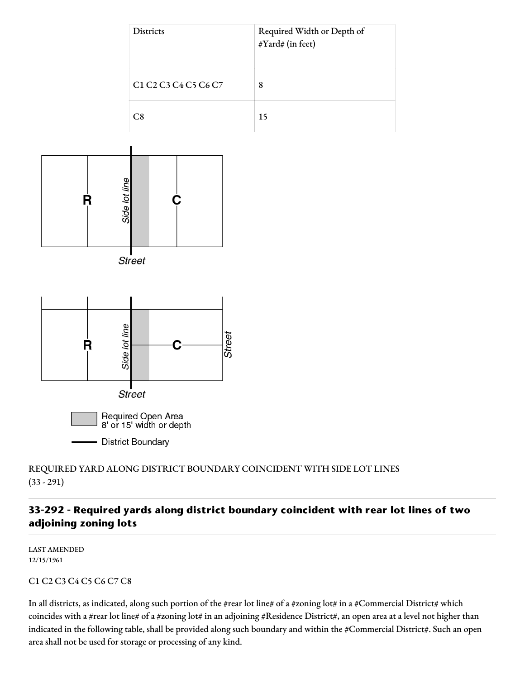



**Street** 



# REQUIRED YARD ALONG DISTRICT BOUNDARY COINCIDENT WITH SIDE LOT LINES (33 - 291)

# **33-292 - Required yards along district boundary coincident with rear lot lines of two adjoining zoning lots**

LAST AMENDED 12/15/1961

#### C1 C2 C3 C4 C5 C6 C7 C8

In all districts, as indicated, along such portion of the #rear lot line# of a #zoning lot# in a #Commercial District# which coincides with a #rear lot line# of a #zoning lot# in an adjoining #Residence District#, an open area at a level not higher than indicated in the following table, shall be provided along such boundary and within the #Commercial District#. Such an open area shall not be used for storage or processing of any kind.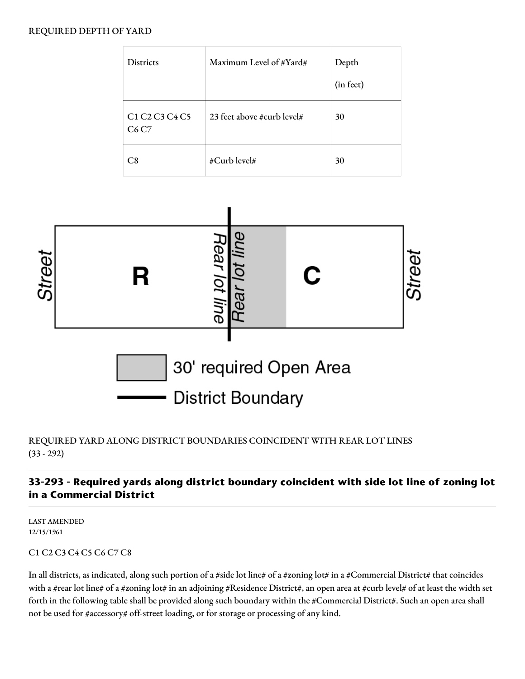#### REQUIRED DEPTH OF YARD

| <b>Districts</b>                                                                   | Maximum Level of #Yard#    | Depth<br>(in feet) |
|------------------------------------------------------------------------------------|----------------------------|--------------------|
| C <sub>1</sub> C <sub>2</sub> C <sub>3</sub> C <sub>4</sub> C <sub>5</sub><br>C6C7 | 23 feet above #curb level# | 30                 |
| C8                                                                                 | #Curb level#               | 30                 |



# REQUIRED YARD ALONG DISTRICT BOUNDARIES COINCIDENT WITH REAR LOT LINES (33 - 292)

# **33-293 - Required yards along district boundary coincident with side lot line of zoning lot in a Commercial District**

LAST AMENDED 12/15/1961

# C1 C2 C3 C4 C5 C6 C7 C8

In all districts, as indicated, along such portion of a #side lot line# of a #zoning lot# in a #Commercial District# that coincides with a #rear lot line# of a #zoning lot# in an adjoining #Residence District#, an open area at #curb level# of at least the width set forth in the following table shall be provided along such boundary within the #Commercial District#. Such an open area shall not be used for #accessory# off-street loading, or for storage or processing of any kind.